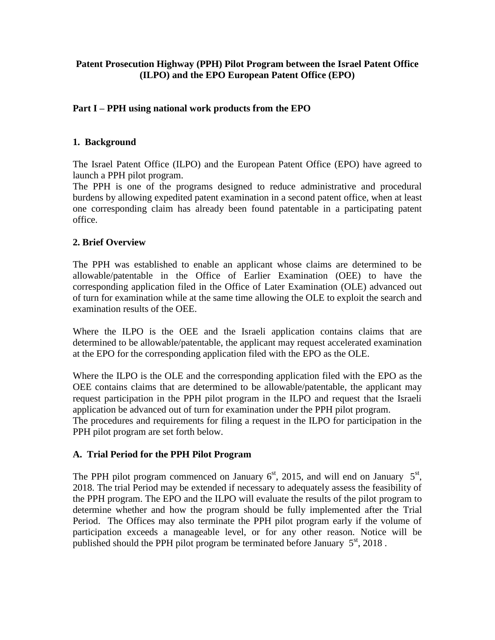### **Patent Prosecution Highway (PPH) Pilot Program between the Israel Patent Office (ILPO) and the EPO European Patent Office (EPO)**

### **Part I – PPH using national work products from the EPO**

### **1. Background**

The Israel Patent Office (ILPO) and the European Patent Office (EPO) have agreed to launch a PPH pilot program.

The PPH is one of the programs designed to reduce administrative and procedural burdens by allowing expedited patent examination in a second patent office, when at least one corresponding claim has already been found patentable in a participating patent office.

### **2. Brief Overview**

The PPH was established to enable an applicant whose claims are determined to be allowable/patentable in the Office of Earlier Examination (OEE) to have the corresponding application filed in the Office of Later Examination (OLE) advanced out of turn for examination while at the same time allowing the OLE to exploit the search and examination results of the OEE.

Where the ILPO is the OEE and the Israeli application contains claims that are determined to be allowable/patentable, the applicant may request accelerated examination at the EPO for the corresponding application filed with the EPO as the OLE.

Where the ILPO is the OLE and the corresponding application filed with the EPO as the OEE contains claims that are determined to be allowable/patentable, the applicant may request participation in the PPH pilot program in the ILPO and request that the Israeli application be advanced out of turn for examination under the PPH pilot program.

The procedures and requirements for filing a request in the ILPO for participation in the PPH pilot program are set forth below.

#### **A. Trial Period for the PPH Pilot Program**

The PPH pilot program commenced on January  $6<sup>st</sup>$ , 2015, and will end on January  $5<sup>st</sup>$ , 2018. The trial Period may be extended if necessary to adequately assess the feasibility of the PPH program. The EPO and the ILPO will evaluate the results of the pilot program to determine whether and how the program should be fully implemented after the Trial Period. The Offices may also terminate the PPH pilot program early if the volume of participation exceeds a manageable level, or for any other reason. Notice will be published should the PPH pilot program be terminated before January  $5<sup>st</sup>$ , 2018.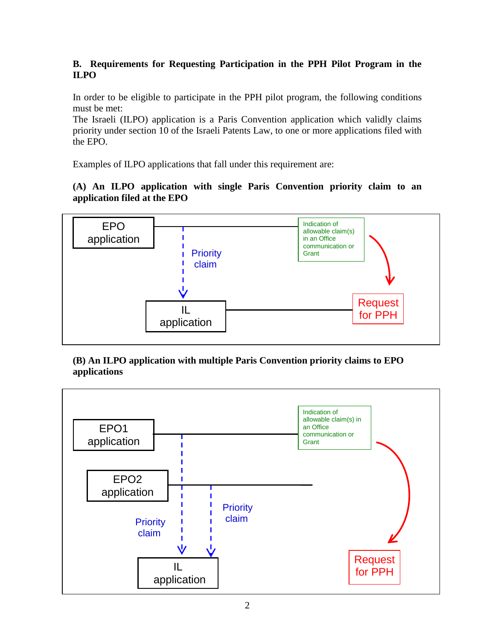# **B. Requirements for Requesting Participation in the PPH Pilot Program in the ILPO**

In order to be eligible to participate in the PPH pilot program, the following conditions must be met:

The Israeli (ILPO) application is a Paris Convention application which validly claims priority under section 10 of the Israeli Patents Law, to one or more applications filed with the EPO.

Examples of ILPO applications that fall under this requirement are:

# **(A) An ILPO application with single Paris Convention priority claim to an application filed at the EPO**



# **(B) An ILPO application with multiple Paris Convention priority claims to EPO applications**

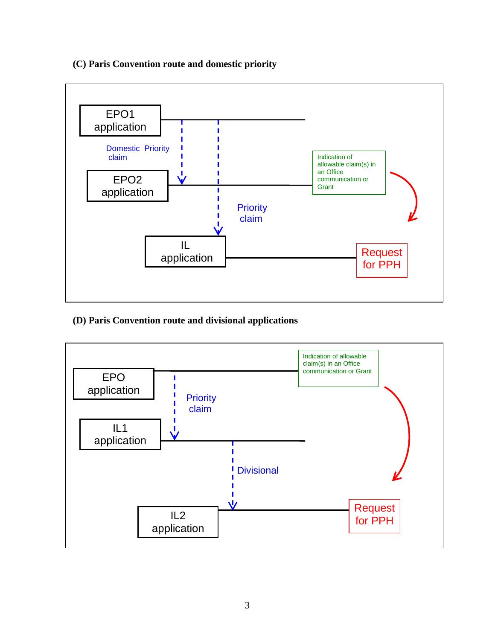### **(C) Paris Convention route and domestic priority**



# **(D) Paris Convention route and divisional applications**

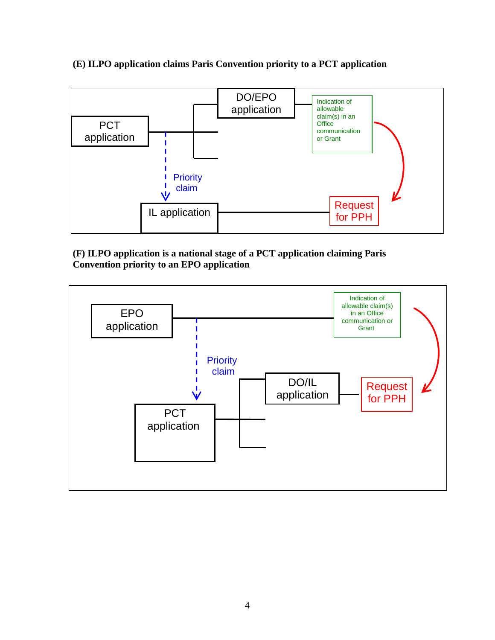**(E) ILPO application claims Paris Convention priority to a PCT application**



### **(F) ILPO application is a national stage of a PCT application claiming Paris Convention priority to an EPO application**

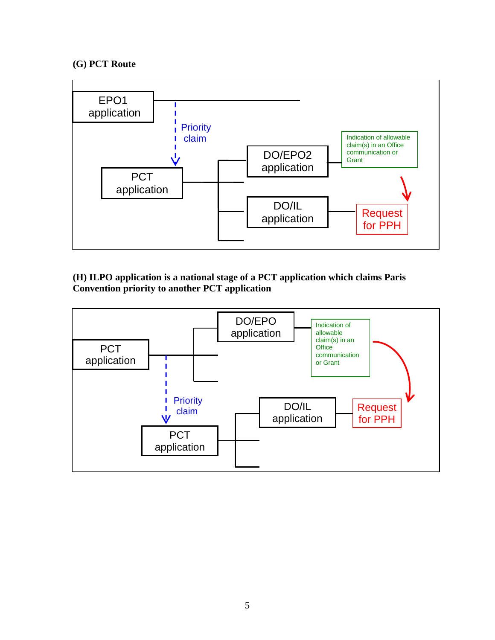#### **(G) PCT Route**



### **(H) ILPO application is a national stage of a PCT application which claims Paris Convention priority to another PCT application**

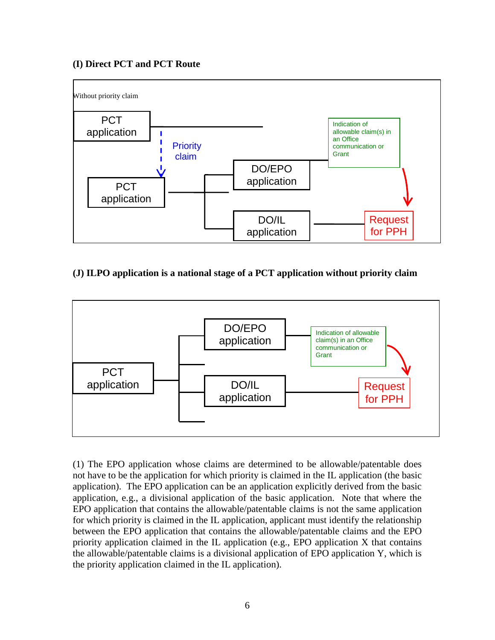### **(I) Direct PCT and PCT Route**



# **(J) ILPO application is a national stage of a PCT application without priority claim**



(1) The EPO application whose claims are determined to be allowable/patentable does not have to be the application for which priority is claimed in the IL application (the basic application). The EPO application can be an application explicitly derived from the basic application, e.g., a divisional application of the basic application. Note that where the EPO application that contains the allowable/patentable claims is not the same application for which priority is claimed in the IL application, applicant must identify the relationship between the EPO application that contains the allowable/patentable claims and the EPO priority application claimed in the IL application (e.g., EPO application X that contains the allowable/patentable claims is a divisional application of EPO application Y, which is the priority application claimed in the IL application).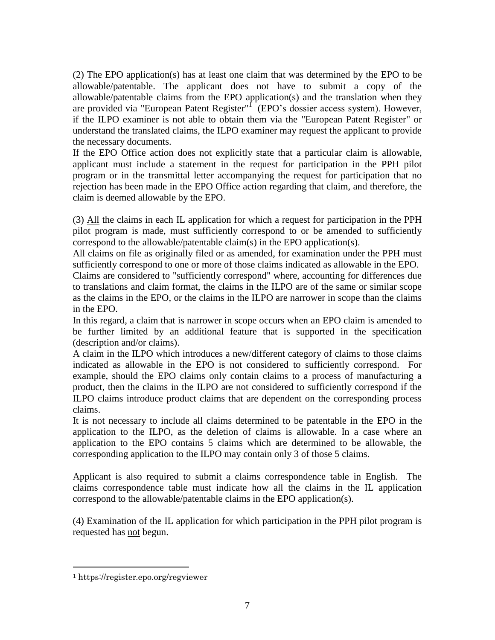(2) The EPO application(s) has at least one claim that was determined by the EPO to be allowable/patentable. The applicant does not have to submit a copy of the allowable/patentable claims from the EPO application(s) and the translation when they are provided via "European Patent Register"<sup>1</sup> (EPO's dossier access system). However, if the ILPO examiner is not able to obtain them via the "European Patent Register" or understand the translated claims, the ILPO examiner may request the applicant to provide the necessary documents.

If the EPO Office action does not explicitly state that a particular claim is allowable, applicant must include a statement in the request for participation in the PPH pilot program or in the transmittal letter accompanying the request for participation that no rejection has been made in the EPO Office action regarding that claim, and therefore, the claim is deemed allowable by the EPO.

(3) All the claims in each IL application for which a request for participation in the PPH pilot program is made, must sufficiently correspond to or be amended to sufficiently correspond to the allowable/patentable claim(s) in the EPO application(s).

All claims on file as originally filed or as amended, for examination under the PPH must sufficiently correspond to one or more of those claims indicated as allowable in the EPO. Claims are considered to "sufficiently correspond" where, accounting for differences due to translations and claim format, the claims in the ILPO are of the same or similar scope as the claims in the EPO, or the claims in the ILPO are narrower in scope than the claims in the EPO.

In this regard, a claim that is narrower in scope occurs when an EPO claim is amended to be further limited by an additional feature that is supported in the specification (description and/or claims).

A claim in the ILPO which introduces a new/different category of claims to those claims indicated as allowable in the EPO is not considered to sufficiently correspond. For example, should the EPO claims only contain claims to a process of manufacturing a product, then the claims in the ILPO are not considered to sufficiently correspond if the ILPO claims introduce product claims that are dependent on the corresponding process claims.

It is not necessary to include all claims determined to be patentable in the EPO in the application to the ILPO, as the deletion of claims is allowable. In a case where an application to the EPO contains 5 claims which are determined to be allowable, the corresponding application to the ILPO may contain only 3 of those 5 claims.

Applicant is also required to submit a claims correspondence table in English. The claims correspondence table must indicate how all the claims in the IL application correspond to the allowable/patentable claims in the EPO application(s).

(4) Examination of the IL application for which participation in the PPH pilot program is requested has not begun.

 $\overline{a}$ 

<sup>1</sup> https://register.epo.org/regviewer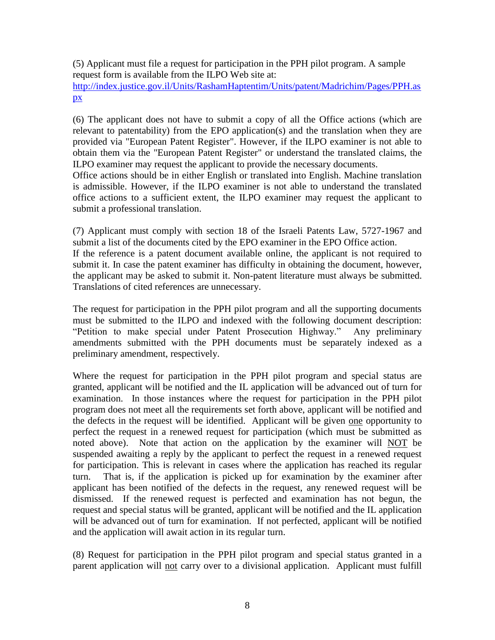(5) Applicant must file a request for participation in the PPH pilot program. A sample request form is available from the ILPO Web site at: [http://index.justice.gov.il/Units/RashamHaptentim/Units/patent/Madrichim/Pages/PPH.as](http://index.justice.gov.il/Units/RashamHaptentim/Units/patent/Madrichim/Pages/PPH.aspx) [px](http://index.justice.gov.il/Units/RashamHaptentim/Units/patent/Madrichim/Pages/PPH.aspx)

(6) The applicant does not have to submit a copy of all the Office actions (which are relevant to patentability) from the EPO application(s) and the translation when they are provided via "European Patent Register". However, if the ILPO examiner is not able to obtain them via the "European Patent Register" or understand the translated claims, the ILPO examiner may request the applicant to provide the necessary documents.

Office actions should be in either English or translated into English. Machine translation is admissible. However, if the ILPO examiner is not able to understand the translated office actions to a sufficient extent, the ILPO examiner may request the applicant to submit a professional translation.

(7) Applicant must comply with section 18 of the Israeli Patents Law, 5727-1967 and submit a list of the documents cited by the EPO examiner in the EPO Office action. If the reference is a patent document available online, the applicant is not required to submit it. In case the patent examiner has difficulty in obtaining the document, however, the applicant may be asked to submit it. Non-patent literature must always be submitted. Translations of cited references are unnecessary.

The request for participation in the PPH pilot program and all the supporting documents must be submitted to the ILPO and indexed with the following document description: "Petition to make special under Patent Prosecution Highway." Any preliminary amendments submitted with the PPH documents must be separately indexed as a preliminary amendment, respectively.

Where the request for participation in the PPH pilot program and special status are granted, applicant will be notified and the IL application will be advanced out of turn for examination. In those instances where the request for participation in the PPH pilot program does not meet all the requirements set forth above, applicant will be notified and the defects in the request will be identified. Applicant will be given one opportunity to perfect the request in a renewed request for participation (which must be submitted as noted above). Note that action on the application by the examiner will NOT be suspended awaiting a reply by the applicant to perfect the request in a renewed request for participation. This is relevant in cases where the application has reached its regular turn. That is, if the application is picked up for examination by the examiner after applicant has been notified of the defects in the request, any renewed request will be dismissed. If the renewed request is perfected and examination has not begun, the request and special status will be granted, applicant will be notified and the IL application will be advanced out of turn for examination. If not perfected, applicant will be notified and the application will await action in its regular turn.

(8) Request for participation in the PPH pilot program and special status granted in a parent application will not carry over to a divisional application. Applicant must fulfill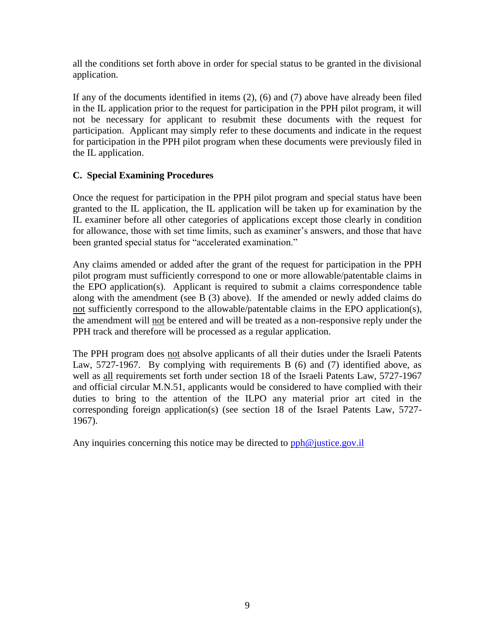all the conditions set forth above in order for special status to be granted in the divisional application.

If any of the documents identified in items (2), (6) and (7) above have already been filed in the IL application prior to the request for participation in the PPH pilot program, it will not be necessary for applicant to resubmit these documents with the request for participation. Applicant may simply refer to these documents and indicate in the request for participation in the PPH pilot program when these documents were previously filed in the IL application.

### **C. Special Examining Procedures**

Once the request for participation in the PPH pilot program and special status have been granted to the IL application, the IL application will be taken up for examination by the IL examiner before all other categories of applications except those clearly in condition for allowance, those with set time limits, such as examiner's answers, and those that have been granted special status for "accelerated examination."

Any claims amended or added after the grant of the request for participation in the PPH pilot program must sufficiently correspond to one or more allowable/patentable claims in the EPO application(s). Applicant is required to submit a claims correspondence table along with the amendment (see B (3) above). If the amended or newly added claims do not sufficiently correspond to the allowable/patentable claims in the EPO application(s), the amendment will not be entered and will be treated as a non-responsive reply under the PPH track and therefore will be processed as a regular application.

The PPH program does not absolve applicants of all their duties under the Israeli Patents Law, 5727-1967. By complying with requirements B (6) and (7) identified above, as well as all requirements set forth under section 18 of the Israeli Patents Law, 5727-1967 and official circular M.N.51, applicants would be considered to have complied with their duties to bring to the attention of the ILPO any material prior art cited in the corresponding foreign application(s) (see section 18 of the Israel Patents Law, 5727- 1967).

Any inquiries concerning this notice may be directed to  $pph@$  justice.gov.il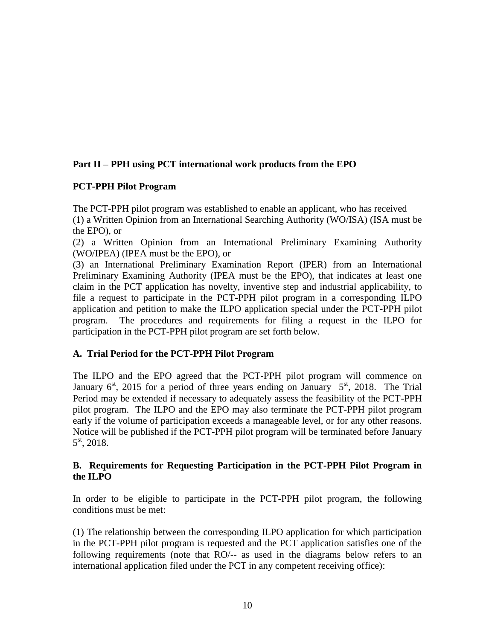# **Part II – PPH using PCT international work products from the EPO**

### **PCT-PPH Pilot Program**

The PCT-PPH pilot program was established to enable an applicant, who has received (1) a Written Opinion from an International Searching Authority (WO/ISA) (ISA must be the EPO), or

(2) a Written Opinion from an International Preliminary Examining Authority (WO/IPEA) (IPEA must be the EPO), or

(3) an International Preliminary Examination Report (IPER) from an International Preliminary Examining Authority (IPEA must be the EPO), that indicates at least one claim in the PCT application has novelty, inventive step and industrial applicability, to file a request to participate in the PCT-PPH pilot program in a corresponding ILPO application and petition to make the ILPO application special under the PCT-PPH pilot program. The procedures and requirements for filing a request in the ILPO for participation in the PCT-PPH pilot program are set forth below.

#### **A. Trial Period for the PCT-PPH Pilot Program**

The ILPO and the EPO agreed that the PCT-PPH pilot program will commence on January  $6<sup>st</sup>$ , 2015 for a period of three years ending on January  $5<sup>st</sup>$ , 2018. The Trial Period may be extended if necessary to adequately assess the feasibility of the PCT-PPH pilot program. The ILPO and the EPO may also terminate the PCT-PPH pilot program early if the volume of participation exceeds a manageable level, or for any other reasons. Notice will be published if the PCT-PPH pilot program will be terminated before January 5 st, 2018.

### **B. Requirements for Requesting Participation in the PCT-PPH Pilot Program in the ILPO**

In order to be eligible to participate in the PCT-PPH pilot program, the following conditions must be met:

(1) The relationship between the corresponding ILPO application for which participation in the PCT-PPH pilot program is requested and the PCT application satisfies one of the following requirements (note that RO/-- as used in the diagrams below refers to an international application filed under the PCT in any competent receiving office):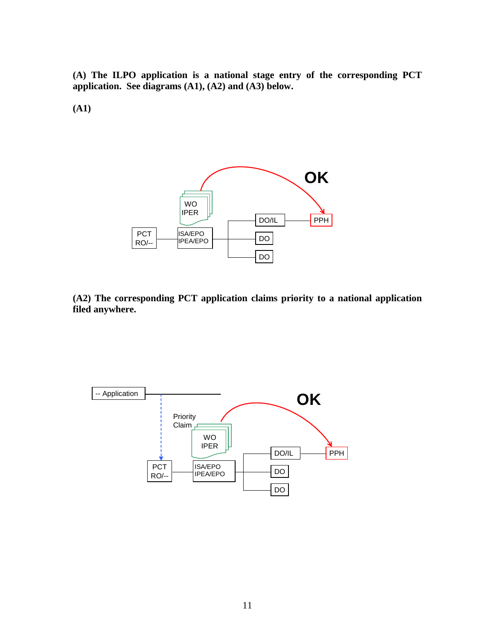**(A) The ILPO application is a national stage entry of the corresponding PCT application. See diagrams (A1), (A2) and (A3) below.**

**(A1)**



**(A2) The corresponding PCT application claims priority to a national application filed anywhere.**

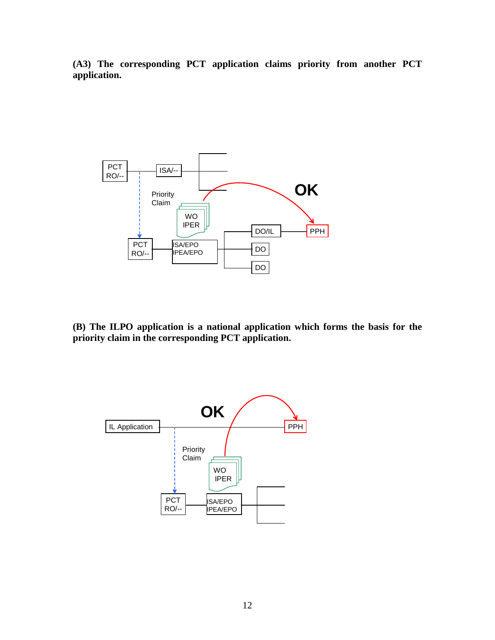**(A3) The corresponding PCT application claims priority from another PCT application.**



**(B) The ILPO application is a national application which forms the basis for the priority claim in the corresponding PCT application.**

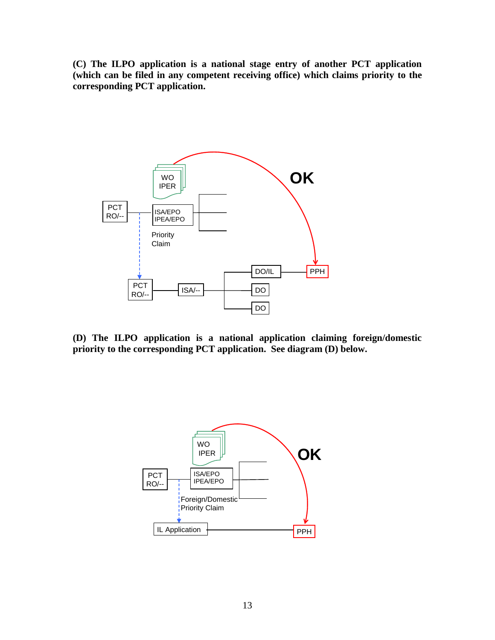**(C) The ILPO application is a national stage entry of another PCT application (which can be filed in any competent receiving office) which claims priority to the corresponding PCT application.**



**(D) The ILPO application is a national application claiming foreign/domestic priority to the corresponding PCT application. See diagram (D) below.**

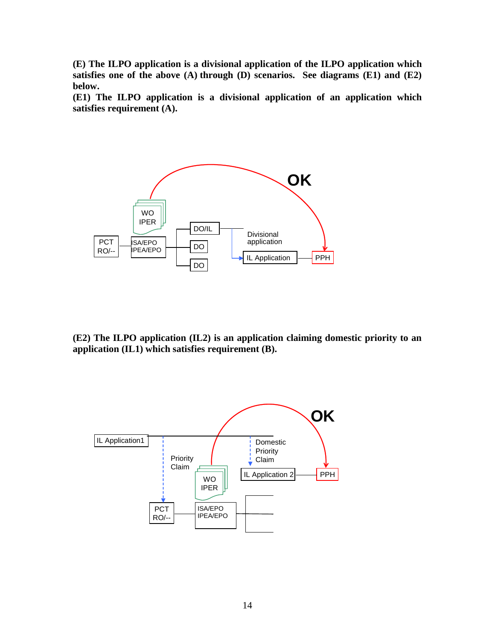**(E) The ILPO application is a divisional application of the ILPO application which satisfies one of the above (A) through (D) scenarios. See diagrams (E1) and (E2) below.**

**(E1) The ILPO application is a divisional application of an application which satisfies requirement (A).** 



**(E2) The ILPO application (IL2) is an application claiming domestic priority to an application (IL1) which satisfies requirement (B).** 

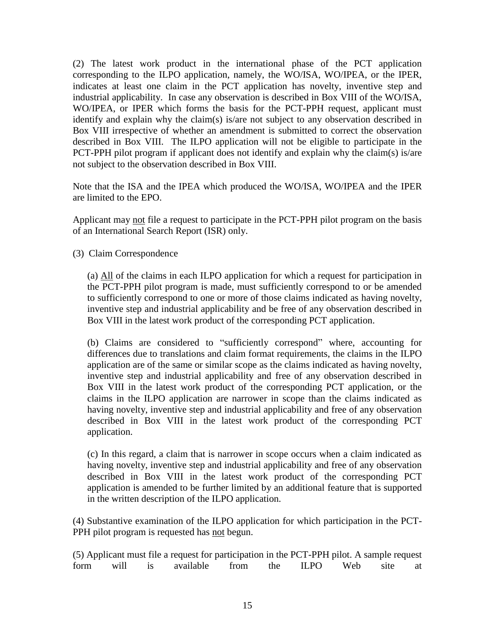(2) The latest work product in the international phase of the PCT application corresponding to the ILPO application, namely, the WO/ISA, WO/IPEA, or the IPER, indicates at least one claim in the PCT application has novelty, inventive step and industrial applicability. In case any observation is described in Box VIII of the WO/ISA, WO/IPEA, or IPER which forms the basis for the PCT-PPH request, applicant must identify and explain why the claim(s) is/are not subject to any observation described in Box VIII irrespective of whether an amendment is submitted to correct the observation described in Box VIII. The ILPO application will not be eligible to participate in the PCT-PPH pilot program if applicant does not identify and explain why the claim(s) is/are not subject to the observation described in Box VIII.

Note that the ISA and the IPEA which produced the WO/ISA, WO/IPEA and the IPER are limited to the EPO.

Applicant may not file a request to participate in the PCT-PPH pilot program on the basis of an International Search Report (ISR) only.

(3) Claim Correspondence

(a) All of the claims in each ILPO application for which a request for participation in the PCT-PPH pilot program is made, must sufficiently correspond to or be amended to sufficiently correspond to one or more of those claims indicated as having novelty, inventive step and industrial applicability and be free of any observation described in Box VIII in the latest work product of the corresponding PCT application.

(b) Claims are considered to "sufficiently correspond" where, accounting for differences due to translations and claim format requirements, the claims in the ILPO application are of the same or similar scope as the claims indicated as having novelty, inventive step and industrial applicability and free of any observation described in Box VIII in the latest work product of the corresponding PCT application, or the claims in the ILPO application are narrower in scope than the claims indicated as having novelty, inventive step and industrial applicability and free of any observation described in Box VIII in the latest work product of the corresponding PCT application.

(c) In this regard, a claim that is narrower in scope occurs when a claim indicated as having novelty, inventive step and industrial applicability and free of any observation described in Box VIII in the latest work product of the corresponding PCT application is amended to be further limited by an additional feature that is supported in the written description of the ILPO application.

(4) Substantive examination of the ILPO application for which participation in the PCT-PPH pilot program is requested has not begun.

|  | (5) Applicant must file a request for participation in the PCT-PPH pilot. A sample request |  |  |  |
|--|--------------------------------------------------------------------------------------------|--|--|--|
|  | form will is available from the ILPO Web site at                                           |  |  |  |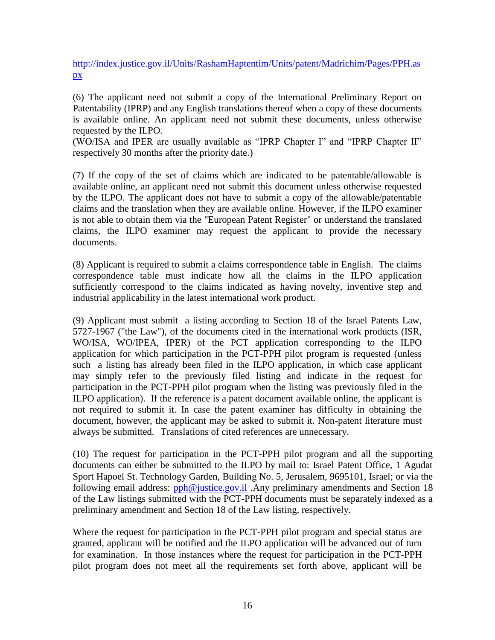http://index.justice.gov.il/Units/RashamHaptentim/Units/patent/Madrichim/Pages/PPH.as px

(6) The applicant need not submit a copy of the International Preliminary Report on Patentability (IPRP) and any English translations thereof when a copy of these documents is available online. An applicant need not submit these documents, unless otherwise requested by the ILPO.

(WO/ISA and IPER are usually available as "IPRP Chapter I" and "IPRP Chapter II" respectively 30 months after the priority date.)

(7) If the copy of the set of claims which are indicated to be patentable/allowable is available online, an applicant need not submit this document unless otherwise requested by the ILPO. The applicant does not have to submit a copy of the allowable/patentable claims and the translation when they are available online. However, if the ILPO examiner is not able to obtain them via the "European Patent Register" or understand the translated claims, the ILPO examiner may request the applicant to provide the necessary documents.

(8) Applicant is required to submit a claims correspondence table in English. The claims correspondence table must indicate how all the claims in the ILPO application sufficiently correspond to the claims indicated as having novelty, inventive step and industrial applicability in the latest international work product.

(9) Applicant must submit a listing according to Section 18 of the Israel Patents Law, 5727-1967 ("the Law"), of the documents cited in the international work products (ISR, WO/ISA, WO/IPEA, IPER) of the PCT application corresponding to the ILPO application for which participation in the PCT-PPH pilot program is requested (unless such a listing has already been filed in the ILPO application, in which case applicant may simply refer to the previously filed listing and indicate in the request for participation in the PCT-PPH pilot program when the listing was previously filed in the ILPO application). If the reference is a patent document available online, the applicant is not required to submit it. In case the patent examiner has difficulty in obtaining the document, however, the applicant may be asked to submit it. Non-patent literature must always be submitted. Translations of cited references are unnecessary.

(10) The request for participation in the PCT-PPH pilot program and all the supporting documents can either be submitted to the ILPO by mail to: Israel Patent Office, 1 Agudat Sport Hapoel St. Technology Garden, Building No. 5, Jerusalem, 9695101, Israel; or via the following email address:  $pph@$  justice.gov.il .Any preliminary amendments and Section 18 of the Law listings submitted with the PCT-PPH documents must be separately indexed as a preliminary amendment and Section 18 of the Law listing, respectively.

Where the request for participation in the PCT-PPH pilot program and special status are granted, applicant will be notified and the ILPO application will be advanced out of turn for examination. In those instances where the request for participation in the PCT-PPH pilot program does not meet all the requirements set forth above, applicant will be